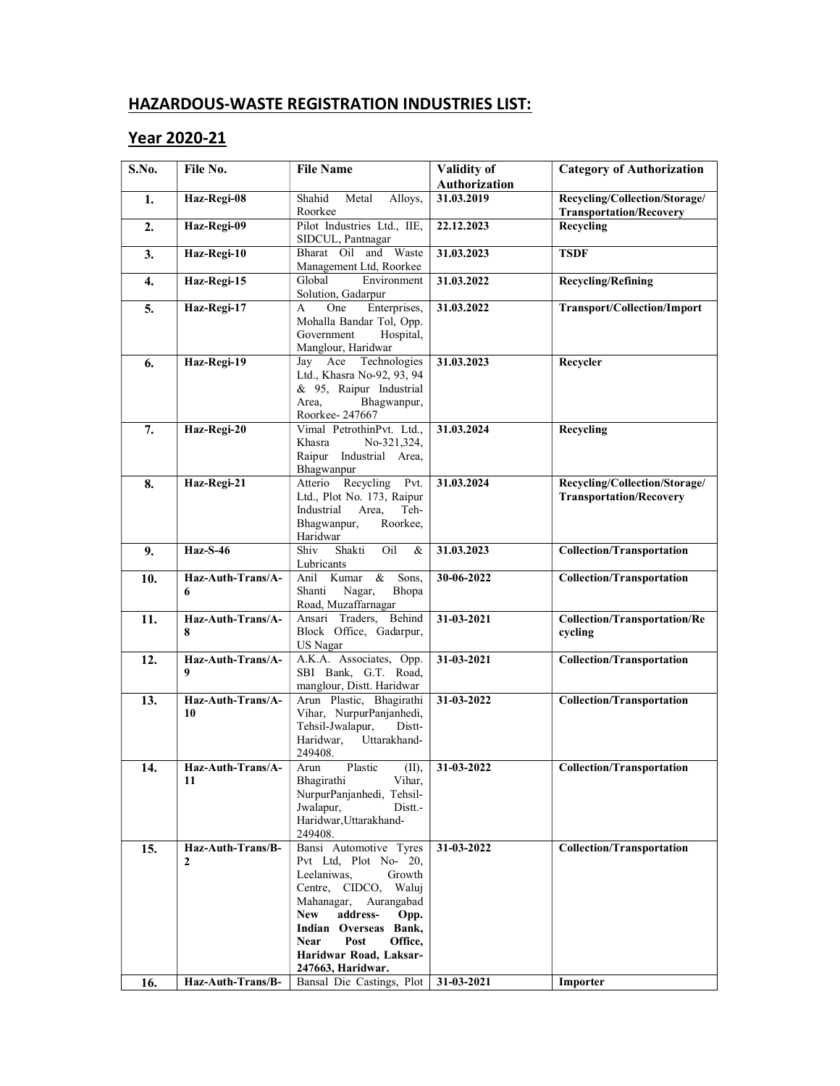## HAZARDOUS-WASTE REGISTRATION INDUSTRIES LIST:

## Year 2020-21

| S.No.      | File No.                                               | <b>File Name</b>                                                                                                                                                                                                                                                                                      | Validity of<br><b>Authorization</b> | <b>Category of Authorization</b>                                |
|------------|--------------------------------------------------------|-------------------------------------------------------------------------------------------------------------------------------------------------------------------------------------------------------------------------------------------------------------------------------------------------------|-------------------------------------|-----------------------------------------------------------------|
| 1.         | Haz-Regi-08                                            | Shahid<br>Metal<br>Alloys,<br>Roorkee                                                                                                                                                                                                                                                                 | 31.03.2019                          | Recycling/Collection/Storage/<br><b>Transportation/Recovery</b> |
| 2.         | Haz-Regi-09                                            | Pilot Industries Ltd., IIE,<br>SIDCUL, Pantnagar                                                                                                                                                                                                                                                      | 22.12.2023                          | Recycling                                                       |
| 3.         | Haz-Regi-10                                            | Bharat Oil and Waste<br>Management Ltd, Roorkee                                                                                                                                                                                                                                                       | 31.03.2023                          | <b>TSDF</b>                                                     |
| 4.         | Haz-Regi-15                                            | Global<br>Environment<br>Solution, Gadarpur                                                                                                                                                                                                                                                           | 31.03.2022                          | <b>Recycling/Refining</b>                                       |
| 5.         | Haz-Regi-17                                            | One<br>Enterprises,<br>A<br>Mohalla Bandar Tol, Opp.<br>Government<br>Hospital,<br>Manglour, Haridwar                                                                                                                                                                                                 | 31.03.2022                          | Transport/Collection/Import                                     |
| 6.         | Haz-Regi-19                                            | Jay Ace Technologies<br>Ltd., Khasra No-92, 93, 94<br>& 95, Raipur Industrial<br>Bhagwanpur,<br>Area,<br>Roorkee-247667                                                                                                                                                                               | 31.03.2023                          | Recycler                                                        |
| 7.         | Haz-Regi-20                                            | Vimal PetrothinPvt. Ltd.,<br>No-321,324,<br>Khasra<br>Raipur Industrial Area,<br>Bhagwanpur                                                                                                                                                                                                           | 31.03.2024                          | Recycling                                                       |
| 8.         | Haz-Regi-21                                            | Atterio Recycling<br>Pvt.<br>Ltd., Plot No. 173, Raipur<br>Industrial<br>Area,<br>Teh-<br>Bhagwanpur,<br>Roorkee,<br>Haridwar                                                                                                                                                                         | 31.03.2024                          | Recycling/Collection/Storage/<br><b>Transportation/Recovery</b> |
| 9.         | $\text{Haz-S-46}$                                      | Shiv<br>Shakti<br>Oil<br>&<br>Lubricants                                                                                                                                                                                                                                                              | 31.03.2023                          | <b>Collection/Transportation</b>                                |
| 10.        | Haz-Auth-Trans/A-<br>6                                 | Anil Kumar<br>& Sons,<br>Nagar,<br>Shanti<br>Bhopa<br>Road, Muzaffarnagar                                                                                                                                                                                                                             | 30-06-2022                          | <b>Collection/Transportation</b>                                |
| 11.        | Haz-Auth-Trans/A-<br>8                                 | Ansari Traders, Behind<br>Block Office, Gadarpur,<br><b>US Nagar</b>                                                                                                                                                                                                                                  | 31-03-2021                          | <b>Collection/Transportation/Re</b><br>cycling                  |
| 12.        | Haz-Auth-Trans/A-<br>9                                 | A.K.A. Associates, Opp.<br>SBI Bank, G.T. Road,<br>manglour, Distt. Haridwar                                                                                                                                                                                                                          | 31-03-2021                          | <b>Collection/Transportation</b>                                |
| 13.        | Haz-Auth-Trans/A-<br>10                                | Arun Plastic, Bhagirathi<br>Vihar, NurpurPanjanhedi,<br>Tehsil-Jwalapur,<br>Distt-<br>Haridwar,<br>Uttarakhand-<br>249408.                                                                                                                                                                            | 31-03-2022                          | <b>Collection/Transportation</b>                                |
| 14.        | Haz-Auth-Trans/A-<br>11                                | Plastic<br>Arun<br>(II),<br>Bhagirathi<br>Vihar,<br>NurpurPanjanhedi, Tehsil-<br>Jwalapur,<br>Distt.<br>Haridwar, Uttarakhand-<br>249408.                                                                                                                                                             | 31-03-2022                          | <b>Collection/Transportation</b>                                |
| 15.<br>16. | Haz-Auth-Trans/B-<br>$\mathbf{2}$<br>Haz-Auth-Trans/B- | Bansi Automotive Tyres<br>Pvt Ltd, Plot No- 20,<br>Leelaniwas,<br>Growth<br>Centre, CIDCO, Waluj<br>Mahanagar,<br>Aurangabad<br>address-<br><b>New</b><br>Opp.<br>Indian Overseas Bank,<br>Post<br>Office,<br><b>Near</b><br>Haridwar Road, Laksar-<br>247663, Haridwar.<br>Bansal Die Castings, Plot | 31-03-2022<br>31-03-2021            | <b>Collection/Transportation</b><br>Importer                    |
|            |                                                        |                                                                                                                                                                                                                                                                                                       |                                     |                                                                 |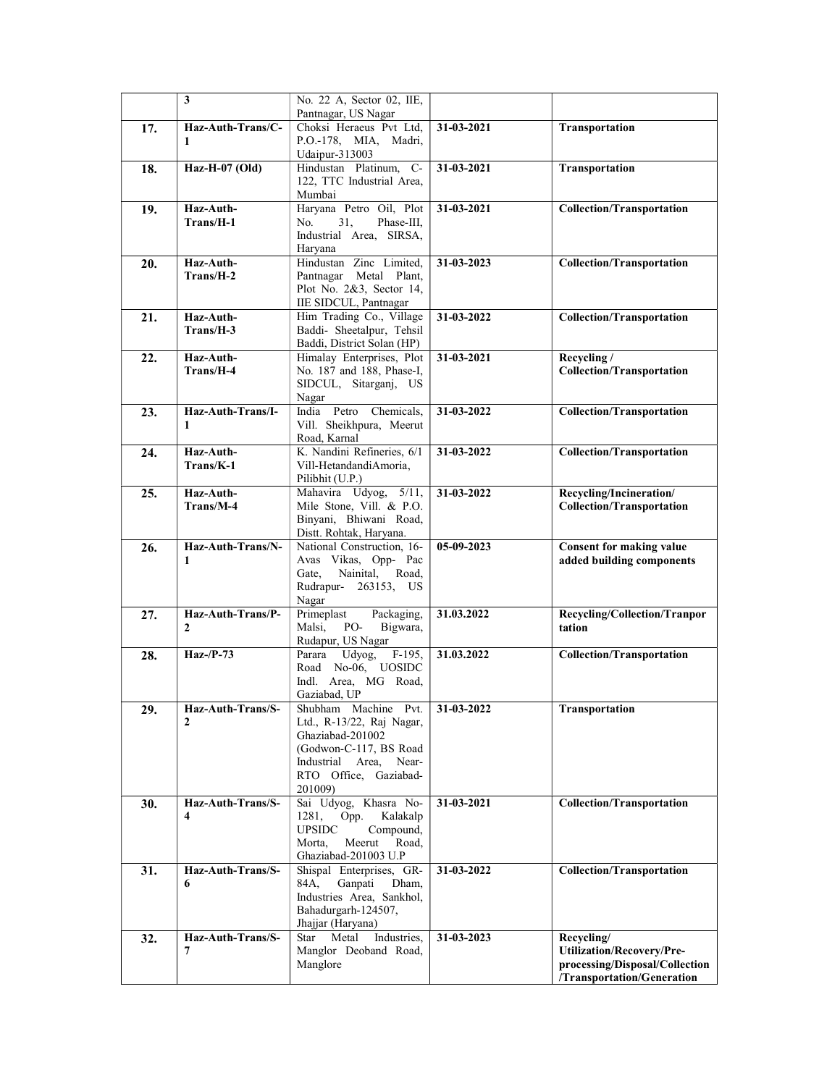|     | 3                      | No. 22 A, Sector 02, IIE,                               |            |                                                |
|-----|------------------------|---------------------------------------------------------|------------|------------------------------------------------|
|     |                        | Pantnagar, US Nagar                                     |            |                                                |
| 17. | Haz-Auth-Trans/C-      | Choksi Heraeus Pvt Ltd,                                 | 31-03-2021 | Transportation                                 |
|     | 1                      | P.O.-178, MIA, Madri,                                   |            |                                                |
|     |                        | Udaipur-313003                                          |            |                                                |
| 18. | Haz-H-07 (Old)         | Hindustan Platinum, C-                                  | 31-03-2021 | Transportation                                 |
|     |                        | 122, TTC Industrial Area,<br>Mumbai                     |            |                                                |
| 19. | Haz-Auth-              | Haryana Petro Oil, Plot                                 | 31-03-2021 | <b>Collection/Transportation</b>               |
|     | Trans/H-1              | No.<br>31,<br>Phase-III,                                |            |                                                |
|     |                        | Industrial Area, SIRSA,                                 |            |                                                |
|     |                        | Haryana                                                 |            |                                                |
| 20. | Haz-Auth-              | Hindustan Zinc Limited,                                 | 31-03-2023 | <b>Collection/Transportation</b>               |
|     | Trans/H-2              | Pantnagar Metal Plant,<br>Plot No. 2&3, Sector 14,      |            |                                                |
|     |                        | IIE SIDCUL, Pantnagar                                   |            |                                                |
| 21. | Haz-Auth-              | Him Trading Co., Village                                | 31-03-2022 | <b>Collection/Transportation</b>               |
|     | Trans/H-3              | Baddi- Sheetalpur, Tehsil                               |            |                                                |
|     |                        | Baddi, District Solan (HP)                              |            |                                                |
| 22. | Haz-Auth-              | Himalay Enterprises, Plot                               | 31-03-2021 | Recycling /                                    |
|     | Trans/H-4              | No. 187 and 188, Phase-I,                               |            | <b>Collection/Transportation</b>               |
|     |                        | SIDCUL, Sitarganj, US                                   |            |                                                |
|     | Haz-Auth-Trans/I-      | Nagar<br>India Petro Chemicals,                         | 31-03-2022 | <b>Collection/Transportation</b>               |
| 23. | 1                      | Vill. Sheikhpura, Meerut                                |            |                                                |
|     |                        | Road, Karnal                                            |            |                                                |
| 24. | Haz-Auth-              | K. Nandini Refineries, 6/1                              | 31-03-2022 | <b>Collection/Transportation</b>               |
|     | Trans/K-1              | Vill-HetandandiAmoria,                                  |            |                                                |
|     |                        | Pilibhit (U.P.)                                         |            |                                                |
| 25. | Haz-Auth-              | Mahavira Udyog, 5/11,                                   | 31-03-2022 | Recycling/Incineration/                        |
|     | Trans/M-4              | Mile Stone, Vill. & P.O.                                |            | <b>Collection/Transportation</b>               |
|     |                        | Binyani, Bhiwani Road,<br>Distt. Rohtak, Haryana.       |            |                                                |
| 26. | Haz-Auth-Trans/N-      | National Construction, 16-                              | 05-09-2023 | <b>Consent for making value</b>                |
|     | 1                      | Avas Vikas, Opp- Pac                                    |            | added building components                      |
|     |                        | Nainital,<br>Road,<br>Gate,                             |            |                                                |
|     |                        |                                                         |            |                                                |
|     |                        | Rudrapur- 263153, US                                    |            |                                                |
|     |                        | Nagar                                                   |            |                                                |
| 27. | Haz-Auth-Trans/P-      | Primeplast<br>Packaging,                                | 31.03.2022 | Recycling/Collection/Tranpor                   |
|     | $\mathbf{2}$           | Malsi,<br>PO-<br>Bigwara,                               |            | tation                                         |
| 28. | $Haz-P-73$             | Rudapur, US Nagar<br>Parara Udyog,<br>$F-195$ ,         | 31.03.2022 |                                                |
|     |                        | Road No-06, UOSIDC                                      |            | <b>Collection/Transportation</b>               |
|     |                        | Indl. Area, MG Road,                                    |            |                                                |
|     |                        | Gaziabad, UP                                            |            |                                                |
| 29. | Haz-Auth-Trans/S-      | Shubham Machine Pvt.                                    | 31-03-2022 | Transportation                                 |
|     | $\mathbf{2}$           | Ltd., R-13/22, Raj Nagar,                               |            |                                                |
|     |                        | Ghaziabad-201002                                        |            |                                                |
|     |                        | (Godwon-C-117, BS Road)<br>Industrial Area.<br>Near-    |            |                                                |
|     |                        | RTO Office, Gaziabad-                                   |            |                                                |
|     |                        | 201009)                                                 |            |                                                |
| 30. | Haz-Auth-Trans/S-      | Sai Udyog, Khasra No-                                   | 31-03-2021 | <b>Collection/Transportation</b>               |
|     | 4                      | 1281,<br>Opp.<br>Kalakalp                               |            |                                                |
|     |                        | <b>UPSIDC</b><br>Compound,<br>Meerut<br>Road,<br>Morta, |            |                                                |
|     |                        | Ghaziabad-201003 U.P                                    |            |                                                |
| 31. | Haz-Auth-Trans/S-      | Shispal Enterprises, GR-                                | 31-03-2022 | <b>Collection/Transportation</b>               |
|     | 6                      | 84A,<br>Ganpati<br>Dham,                                |            |                                                |
|     |                        | Industries Area, Sankhol,                               |            |                                                |
|     |                        | Bahadurgarh-124507,                                     |            |                                                |
|     |                        | Jhajjar (Haryana)                                       |            |                                                |
| 32. | Haz-Auth-Trans/S-<br>7 | Metal<br>Industries,<br>Star<br>Manglor Deoband Road,   | 31-03-2023 | Recycling/<br><b>Utilization/Recovery/Pre-</b> |
|     |                        | Manglore                                                |            | processing/Disposal/Collection                 |